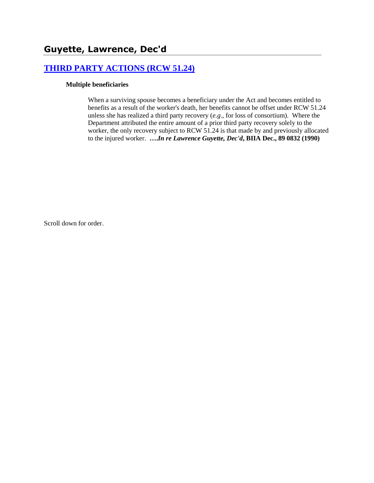# **[THIRD PARTY ACTIONS \(RCW 51.24\)](http://www.biia.wa.gov/SDSubjectIndex.html#THIRD_PARTY_ACTIONS)**

### **Multiple beneficiaries**

When a surviving spouse becomes a beneficiary under the Act and becomes entitled to benefits as a result of the worker's death, her benefits cannot be offset under RCW 51.24 unless she has realized a third party recovery (*e.g*., for loss of consortium). Where the Department attributed the entire amount of a prior third party recovery solely to the worker, the only recovery subject to RCW 51.24 is that made by and previously allocated to the injured worker. **….***In re Lawrence Guyette, Dec'd***, BIIA Dec., 89 0832 (1990)**

Scroll down for order.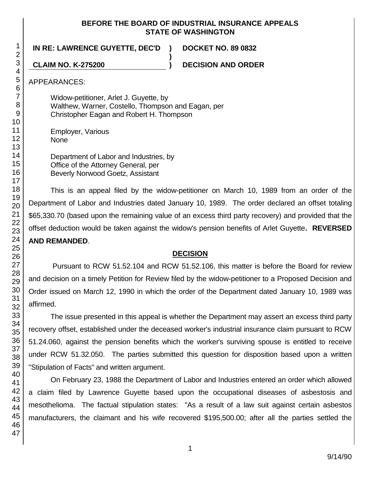### **BEFORE THE BOARD OF INDUSTRIAL INSURANCE APPEALS STATE OF WASHINGTON**

**)**

**IN RE: LAWRENCE GUYETTE, DEC'D ) DOCKET NO. 89 0832**

**CLAIM NO. K-275200 ) DECISION AND ORDER**

APPEARANCES:

Widow-petitioner, Arlet J. Guyette, by Walthew, Warner, Costello, Thompson and Eagan, per Christopher Eagan and Robert H. Thompson

Employer, Various None

Department of Labor and Industries, by Office of the Attorney General, per Beverly Norwood Goetz, Assistant

This is an appeal filed by the widow-petitioner on March 10, 1989 from an order of the Department of Labor and Industries dated January 10, 1989. The order declared an offset totaling \$65,330.70 (based upon the remaining value of an excess third party recovery) and provided that the offset deduction would be taken against the widow's pension benefits of Arlet Guyette**. REVERSED AND REMANDED**.

# **DECISION**

Pursuant to RCW 51.52.104 and RCW 51.52.106, this matter is before the Board for review and decision on a timely Petition for Review filed by the widow-petitioner to a Proposed Decision and Order issued on March 12, 1990 in which the order of the Department dated January 10, 1989 was affirmed.

The issue presented in this appeal is whether the Department may assert an excess third party recovery offset, established under the deceased worker's industrial insurance claim pursuant to RCW 51.24.060, against the pension benefits which the worker's surviving spouse is entitled to receive under RCW 51.32.050. The parties submitted this question for disposition based upon a written "Stipulation of Facts" and written argument.

On February 23, 1988 the Department of Labor and Industries entered an order which allowed a claim filed by Lawrence Guyette based upon the occupational diseases of asbestosis and mesothelioma. The factual stipulation states: "As a result of a law suit against certain asbestos manufacturers, the claimant and his wife recovered \$195,500.00; after all the parties settled the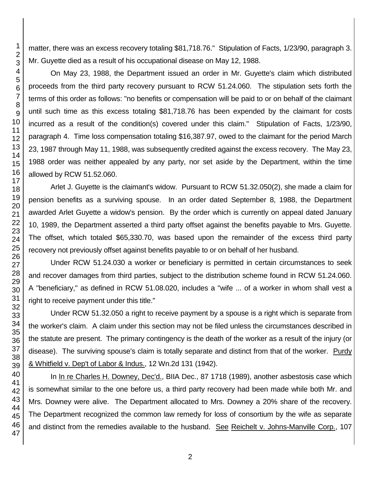matter, there was an excess recovery totaling \$81,718.76." Stipulation of Facts, 1/23/90, paragraph 3. Mr. Guyette died as a result of his occupational disease on May 12, 1988.

On May 23, 1988, the Department issued an order in Mr. Guyette's claim which distributed proceeds from the third party recovery pursuant to RCW 51.24.060. The stipulation sets forth the terms of this order as follows: "no benefits or compensation will be paid to or on behalf of the claimant until such time as this excess totaling \$81,718.76 has been expended by the claimant for costs incurred as a result of the condition(s) covered under this claim." Stipulation of Facts, 1/23/90, paragraph 4. Time loss compensation totaling \$16,387.97, owed to the claimant for the period March 23, 1987 through May 11, 1988, was subsequently credited against the excess recovery. The May 23, 1988 order was neither appealed by any party, nor set aside by the Department, within the time allowed by RCW 51.52.060.

Arlet J. Guyette is the claimant's widow. Pursuant to RCW 51.32.050(2), she made a claim for pension benefits as a surviving spouse. In an order dated September 8, 1988, the Department awarded Arlet Guyette a widow's pension. By the order which is currently on appeal dated January 10, 1989, the Department asserted a third party offset against the benefits payable to Mrs. Guyette. The offset, which totaled \$65,330.70, was based upon the remainder of the excess third party recovery not previously offset against benefits payable to or on behalf of her husband.

Under RCW 51.24.030 a worker or beneficiary is permitted in certain circumstances to seek and recover damages from third parties, subject to the distribution scheme found in RCW 51.24.060. A "beneficiary," as defined in RCW 51.08.020, includes a "wife ... of a worker in whom shall vest a right to receive payment under this title."

Under RCW 51.32.050 a right to receive payment by a spouse is a right which is separate from the worker's claim. A claim under this section may not be filed unless the circumstances described in the statute are present. The primary contingency is the death of the worker as a result of the injury (or disease). The surviving spouse's claim is totally separate and distinct from that of the worker. Purdy & Whitfield v. Dep't of Labor & Indus., 12 Wn.2d 131 (1942).

In In re Charles H. Downey, Dec'd., BIIA Dec., 87 1718 (1989), another asbestosis case which is somewhat similar to the one before us, a third party recovery had been made while both Mr. and Mrs. Downey were alive. The Department allocated to Mrs. Downey a 20% share of the recovery. The Department recognized the common law remedy for loss of consortium by the wife as separate and distinct from the remedies available to the husband. See Reichelt v. Johns-Manville Corp., 107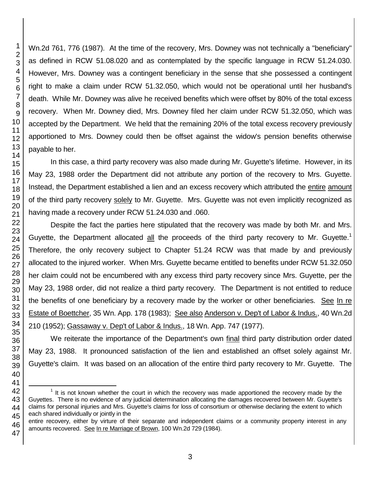Wn.2d 761, 776 (1987). At the time of the recovery, Mrs. Downey was not technically a "beneficiary" as defined in RCW 51.08.020 and as contemplated by the specific language in RCW 51.24.030. However, Mrs. Downey was a contingent beneficiary in the sense that she possessed a contingent right to make a claim under RCW 51.32.050, which would not be operational until her husband's death. While Mr. Downey was alive he received benefits which were offset by 80% of the total excess recovery. When Mr. Downey died, Mrs. Downey filed her claim under RCW 51.32.050, which was accepted by the Department. We held that the remaining 20% of the total excess recovery previously apportioned to Mrs. Downey could then be offset against the widow's pension benefits otherwise payable to her.

In this case, a third party recovery was also made during Mr. Guyette's lifetime. However, in its May 23, 1988 order the Department did not attribute any portion of the recovery to Mrs. Guyette. Instead, the Department established a lien and an excess recovery which attributed the entire amount of the third party recovery solely to Mr. Guyette. Mrs. Guyette was not even implicitly recognized as having made a recovery under RCW 51.24.030 and .060.

Despite the fact the parties here stipulated that the recovery was made by both Mr. and Mrs. Guyette, the Department allocated  $\underline{\text{all}}$  the proceeds of the third party recovery to Mr. Guyette.<sup>1</sup> Therefore, the only recovery subject to Chapter 51.24 RCW was that made by and previously allocated to the injured worker. When Mrs. Guyette became entitled to benefits under RCW 51.32.050 her claim could not be encumbered with any excess third party recovery since Mrs. Guyette, per the May 23, 1988 order, did not realize a third party recovery. The Department is not entitled to reduce the benefits of one beneficiary by a recovery made by the worker or other beneficiaries. See In re Estate of Boettcher, 35 Wn. App. 178 (1983); See also Anderson v. Dep't of Labor & Indus., 40 Wn.2d 210 (1952); Gassaway v. Dep't of Labor & Indus., 18 Wn. App. 747 (1977).

We reiterate the importance of the Department's own final third party distribution order dated May 23, 1988. It pronounced satisfaction of the lien and established an offset solely against Mr. Guyette's claim. It was based on an allocation of the entire third party recovery to Mr. Guyette. The

entire recovery, either by virture of their separate and independent claims or a community property interest in any amounts recovered. See In re Marriage of Brown, 100 Wn.2d 729 (1984).

l

 It is not known whether the court in which the recovery was made apportioned the recovery made by the Guyettes. There is no evidence of any judicial determination allocating the damages recovered between Mr. Guyette's claims for personal injuries and Mrs. Guyette's claims for loss of consortium or otherwise declaring the extent to which each shared individually or jointly in the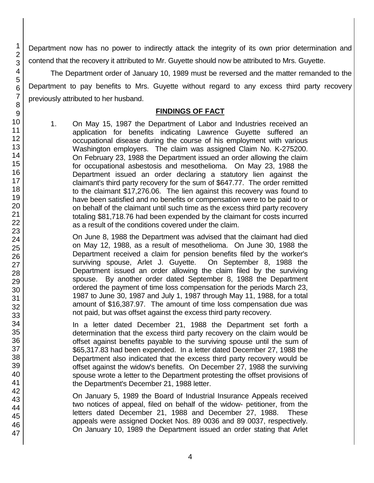Department now has no power to indirectly attack the integrity of its own prior determination and contend that the recovery it attributed to Mr. Guyette should now be attributed to Mrs. Guyette.

The Department order of January 10, 1989 must be reversed and the matter remanded to the Department to pay benefits to Mrs. Guyette without regard to any excess third party recovery previously attributed to her husband.

## **FINDINGS OF FACT**

1. On May 15, 1987 the Department of Labor and Industries received an application for benefits indicating Lawrence Guyette suffered an occupational disease during the course of his employment with various Washington employers. The claim was assigned Claim No. K-275200. On February 23, 1988 the Department issued an order allowing the claim for occupational asbestosis and mesothelioma. On May 23, 1988 the Department issued an order declaring a statutory lien against the claimant's third party recovery for the sum of \$647.77. The order remitted to the claimant \$17,276.06. The lien against this recovery was found to have been satisfied and no benefits or compensation were to be paid to or on behalf of the claimant until such time as the excess third party recovery totaling \$81,718.76 had been expended by the claimant for costs incurred as a result of the conditions covered under the claim.

On June 8, 1988 the Department was advised that the claimant had died on May 12, 1988, as a result of mesothelioma. On June 30, 1988 the Department received a claim for pension benefits filed by the worker's surviving spouse, Arlet J. Guyette. On September 8, 1988 the Department issued an order allowing the claim filed by the surviving spouse. By another order dated September 8, 1988 the Department ordered the payment of time loss compensation for the periods March 23, 1987 to June 30, 1987 and July 1, 1987 through May 11, 1988, for a total amount of \$16,387.97. The amount of time loss compensation due was not paid, but was offset against the excess third party recovery.

In a letter dated December 21, 1988 the Department set forth a determination that the excess third party recovery on the claim would be offset against benefits payable to the surviving spouse until the sum of \$65,317.83 had been expended. In a letter dated December 27, 1988 the Department also indicated that the excess third party recovery would be offset against the widow's benefits. On December 27, 1988 the surviving spouse wrote a letter to the Department protesting the offset provisions of the Department's December 21, 1988 letter.

On January 5, 1989 the Board of Industrial Insurance Appeals received two notices of appeal, filed on behalf of the widow- petitioner, from the letters dated December 21, 1988 and December 27, 1988. These appeals were assigned Docket Nos. 89 0036 and 89 0037, respectively. On January 10, 1989 the Department issued an order stating that Arlet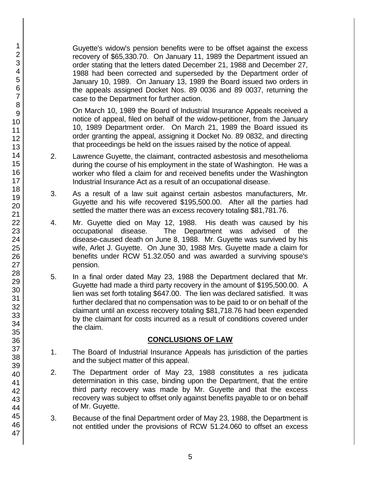Guyette's widow's pension benefits were to be offset against the excess recovery of \$65,330.70. On January 11, 1989 the Department issued an order stating that the letters dated December 21, 1988 and December 27, 1988 had been corrected and superseded by the Department order of January 10, 1989. On January 13, 1989 the Board issued two orders in the appeals assigned Docket Nos. 89 0036 and 89 0037, returning the case to the Department for further action.

On March 10, 1989 the Board of Industrial Insurance Appeals received a notice of appeal, filed on behalf of the widow-petitioner, from the January 10, 1989 Department order. On March 21, 1989 the Board issued its order granting the appeal, assigning it Docket No. 89 0832, and directing that proceedings be held on the issues raised by the notice of appeal.

- 2. Lawrence Guyette, the claimant, contracted asbestosis and mesothelioma during the course of his employment in the state of Washington. He was a worker who filed a claim for and received benefits under the Washington Industrial Insurance Act as a result of an occupational disease.
- 3. As a result of a law suit against certain asbestos manufacturers, Mr. Guyette and his wife recovered \$195,500.00. After all the parties had settled the matter there was an excess recovery totaling \$81,781.76.
- 4. Mr. Guyette died on May 12, 1988. His death was caused by his occupational disease. The Department was advised of the disease-caused death on June 8, 1988. Mr. Guyette was survived by his wife, Arlet J. Guyette. On June 30, 1988 Mrs. Guyette made a claim for benefits under RCW 51.32.050 and was awarded a surviving spouse's pension.
- 5. In a final order dated May 23, 1988 the Department declared that Mr. Guyette had made a third party recovery in the amount of \$195,500.00. A lien was set forth totaling \$647.00. The lien was declared satisfied. It was further declared that no compensation was to be paid to or on behalf of the claimant until an excess recovery totaling \$81,718.76 had been expended by the claimant for costs incurred as a result of conditions covered under the claim.

# **CONCLUSIONS OF LAW**

- 1. The Board of Industrial Insurance Appeals has jurisdiction of the parties and the subject matter of this appeal.
- 2. The Department order of May 23, 1988 constitutes a res judicata determination in this case, binding upon the Department, that the entire third party recovery was made by Mr. Guyette and that the excess recovery was subject to offset only against benefits payable to or on behalf of Mr. Guyette.
- 3. Because of the final Department order of May 23, 1988, the Department is not entitled under the provisions of RCW 51.24.060 to offset an excess